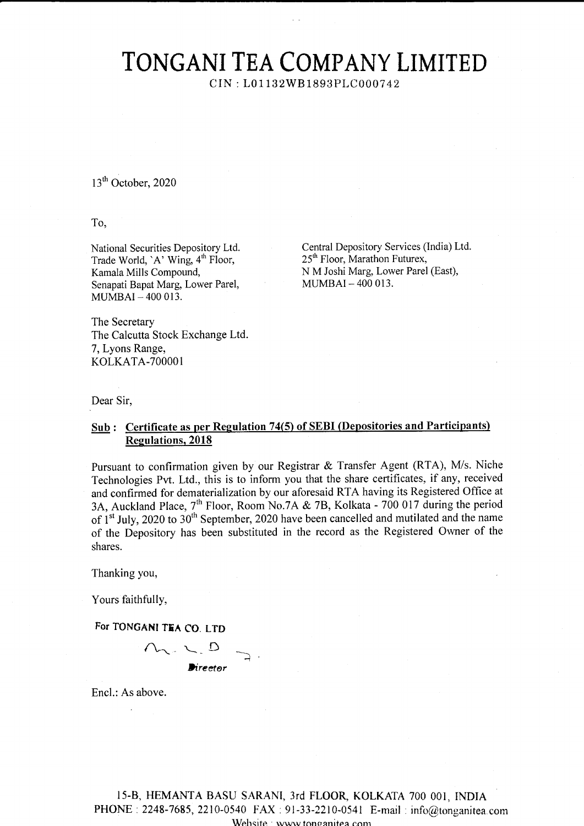## TONGANI TEA COMPANY LIMITED

CIN : L01132W81893PLC 0007 42

 $13<sup>th</sup>$  October, 2020

To,

National Securities Depository Ltd. Trade World, 'A' Wing, 4<sup>th</sup> Floor, Kamala Mills Compound, Senapati Bapat Marg, Lower Parel, MUMBAI - 4OO OI3.

Central Depository Services (India) Ltd. 25<sup>th</sup> Floor, Marathon Futurex, N M Joshi Marg, Lower Parel (East), MUMBAI\_4OO 013.

The Secretary The Calcutta Stock Exchange Ltd. 7, Lyons Range, KOLKATA-7OOOO1

Dear Sir,

## Sub: Certificate as per Regulation 74(5) of SEBI (Depositories and Participants) Regulations. 2018

Pursuant to confirmation given by our Registrar  $\&$  Transfer Agent (RTA), M/s. Niche Technologies Pvt. Ltd., this is to inform you that the share certificates, if any, received and confirmed for dematerialization by our aforesaid RTA having its Registered Office at 3A, Auckland Place, 7<sup>th</sup> Floor, Room No.7A & 7B, Kolkata - 700 017 during the period of 1<sup>st</sup> July, 2020 to 30<sup>th</sup> September, 2020 have been cancelled and mutilated and the name of the Depository has been substituted in the record as the Registered Owner of the shares.

Thanking you,

Yours faithfully,

For TONGANI TEA CO. LTD



Encl.: As above.

l5-8, HEMANTA BASU SARANI, 3rd FLOO& KOLKATA 700 001, INDIA PHONE :2248-7685, 2210-0540 FAX : 91-33-2210-0541 E-mail : info@tonganitea.com Wehsite www tonganitea com-